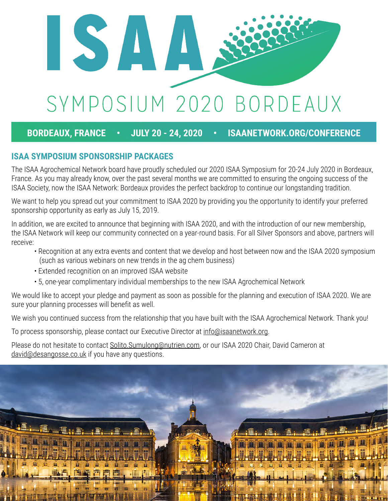

### **BORDEAUX, FRANCE • JULY 20 - 24, 2020 • ISAANETWORK.ORG/CONFERENCE**

#### **ISAA SYMPOSIUM SPONSORSHIP PACKAGES**

The ISAA Agrochemical Network board have proudly scheduled our 2020 ISAA Symposium for 20-24 July 2020 in Bordeaux, France. As you may already know, over the past several months we are committed to ensuring the ongoing success of the ISAA Society, now the ISAA Network: Bordeaux provides the perfect backdrop to continue our longstanding tradition.

We want to help you spread out your commitment to ISAA 2020 by providing you the opportunity to identify your preferred sponsorship opportunity as early as July 15, 2019.

In addition, we are excited to announce that beginning with ISAA 2020, and with the introduction of our new membership, the ISAA Network will keep our community connected on a year-round basis. For all Silver Sponsors and above, partners will receive:

- Recognition at any extra events and content that we develop and host between now and the ISAA 2020 symposium (such as various webinars on new trends in the ag chem business)
- Extended recognition on an improved ISAA website
- 5, one-year complimentary individual memberships to the new ISAA Agrochemical Network

We would like to accept your pledge and payment as soon as possible for the planning and execution of ISAA 2020. We are sure your planning processes will benefit as well.

We wish you continued success from the relationship that you have built with the ISAA Agrochemical Network. Thank you!

To process sponsorship, please contact our Executive Director at info@isaanetwork.org.

Please do not hesitate to contact Solito. Sumulong@nutrien.com, or our ISAA 2020 Chair, David Cameron at david@desangosse.co.uk if you have any questions.

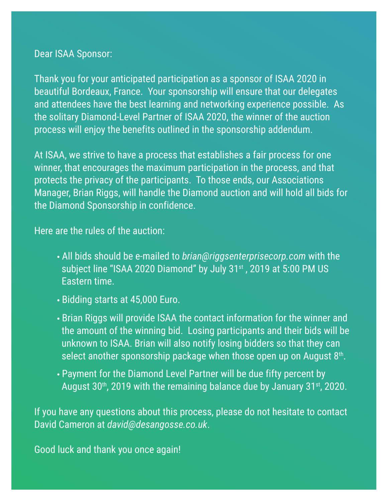### Dear ISAA Sponsor:

Thank you for your anticipated participation as a sponsor of ISAA 2020 in beautiful Bordeaux, France. Your sponsorship will ensure that our delegates and attendees have the best learning and networking experience possible. As the solitary Diamond-Level Partner of ISAA 2020, the winner of the auction process will enjoy the benefits outlined in the sponsorship addendum.

At ISAA, we strive to have a process that establishes a fair process for one winner, that encourages the maximum participation in the process, and that protects the privacy of the participants. To those ends, our Associations Manager, Brian Riggs, will handle the Diamond auction and will hold all bids for the Diamond Sponsorship in confidence.

Here are the rules of the auction:

- All bids should be e-mailed to *brian@riggsenterprisecorp.com* with the subject line "ISAA 2020 Diamond" by July 31<sup>st</sup>, 2019 at 5:00 PM US Eastern time.
- Bidding starts at 45,000 Euro.
- Brian Riggs will provide ISAA the contact information for the winner and the amount of the winning bid. Losing participants and their bids will be unknown to ISAA. Brian will also notify losing bidders so that they can select another sponsorship package when those open up on August  $8<sup>th</sup>$ .
- Payment for the Diamond Level Partner will be due fifty percent by August  $30<sup>th</sup>$ , 2019 with the remaining balance due by January  $31<sup>st</sup>$ , 2020.

If you have any questions about this process, please do not hesitate to contact David Cameron at *david@desangosse.co.uk*.

Good luck and thank you once again!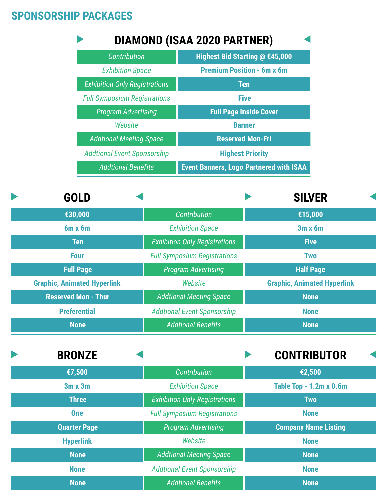# **SPONSORSHIP PACKAGES**

**None**

|                                      |  | <b>DIAMOND (ISAA 2020 PARTNER)</b>                                          |                         |                                    |  |
|--------------------------------------|--|-----------------------------------------------------------------------------|-------------------------|------------------------------------|--|
| <b>Contribution</b>                  |  | Highest Bid Starting @ €45,000                                              |                         |                                    |  |
| <b>Exhibition Space</b>              |  | <b>Premium Position - 6m x 6m</b>                                           |                         |                                    |  |
| <b>Exhibition Only Registrations</b> |  | <b>Ten</b><br><b>Five</b><br><b>Full Page Inside Cover</b><br><b>Banner</b> |                         |                                    |  |
| <b>Full Symposium Registrations</b>  |  |                                                                             |                         |                                    |  |
| <b>Program Advertising</b>           |  |                                                                             |                         |                                    |  |
| Website                              |  |                                                                             |                         |                                    |  |
| <b>Addtional Meeting Space</b>       |  |                                                                             | <b>Reserved Mon-Fri</b> |                                    |  |
| <b>Addtional Event Sponsorship</b>   |  | <b>Highest Priority</b>                                                     |                         |                                    |  |
| <b>Addtional Benefits</b>            |  | <b>Event Banners, Logo Partnered with ISAA</b>                              |                         |                                    |  |
| <b>GOLD</b>                          |  |                                                                             |                         | <b>SILVER</b>                      |  |
| €30,000                              |  | <b>Contribution</b>                                                         |                         | €15,000                            |  |
| 6m x 6m                              |  | <b>Exhibition Space</b>                                                     |                         | 3m x 6m                            |  |
| <b>Ten</b>                           |  | <b>Exhibition Only Registrations</b>                                        |                         | <b>Five</b>                        |  |
| <b>Four</b>                          |  | <b>Full Symposium Registrations</b>                                         |                         | <b>Two</b>                         |  |
| <b>Full Page</b>                     |  | <b>Program Advertising</b>                                                  |                         | <b>Half Page</b>                   |  |
| <b>Graphic, Animated Hyperlink</b>   |  | Website                                                                     |                         | <b>Graphic, Animated Hyperlink</b> |  |
| <b>Reserved Mon - Thur</b>           |  | <b>Addtional Meeting Space</b>                                              |                         | <b>None</b>                        |  |
| <b>Preferential</b>                  |  | <b>Addtional Event Sponsorship</b>                                          |                         | <b>None</b>                        |  |
| <b>None</b>                          |  | <b>Addtional Benefits</b>                                                   |                         | <b>None</b>                        |  |
| <b>BRONZE</b>                        |  |                                                                             |                         | <b>CONTRIBUTOR</b>                 |  |
| €7,500                               |  | <b>Contribution</b>                                                         |                         | €2,500                             |  |
| $3m \times 3m$                       |  | <b>Exhibition Space</b>                                                     |                         | <b>Table Top - 1.2m x 0.6m</b>     |  |
| <b>Three</b>                         |  | <b>Exhibition Only Registrations</b>                                        |                         | <b>Two</b>                         |  |
| <b>One</b>                           |  | <b>Full Symposium Registrations</b>                                         |                         | <b>None</b>                        |  |
| <b>Quarter Page</b>                  |  | <b>Program Advertising</b>                                                  |                         | <b>Company Name Listing</b>        |  |
| <b>Hyperlink</b>                     |  | Website                                                                     |                         | <b>None</b>                        |  |
| <b>None</b>                          |  | <b>Addtional Meeting Space</b>                                              |                         | <b>None</b>                        |  |
| <b>None</b>                          |  | <b>Addtional Event Sponsorship</b>                                          |                         | <b>None</b>                        |  |

*Addtional Benefits*

**None**